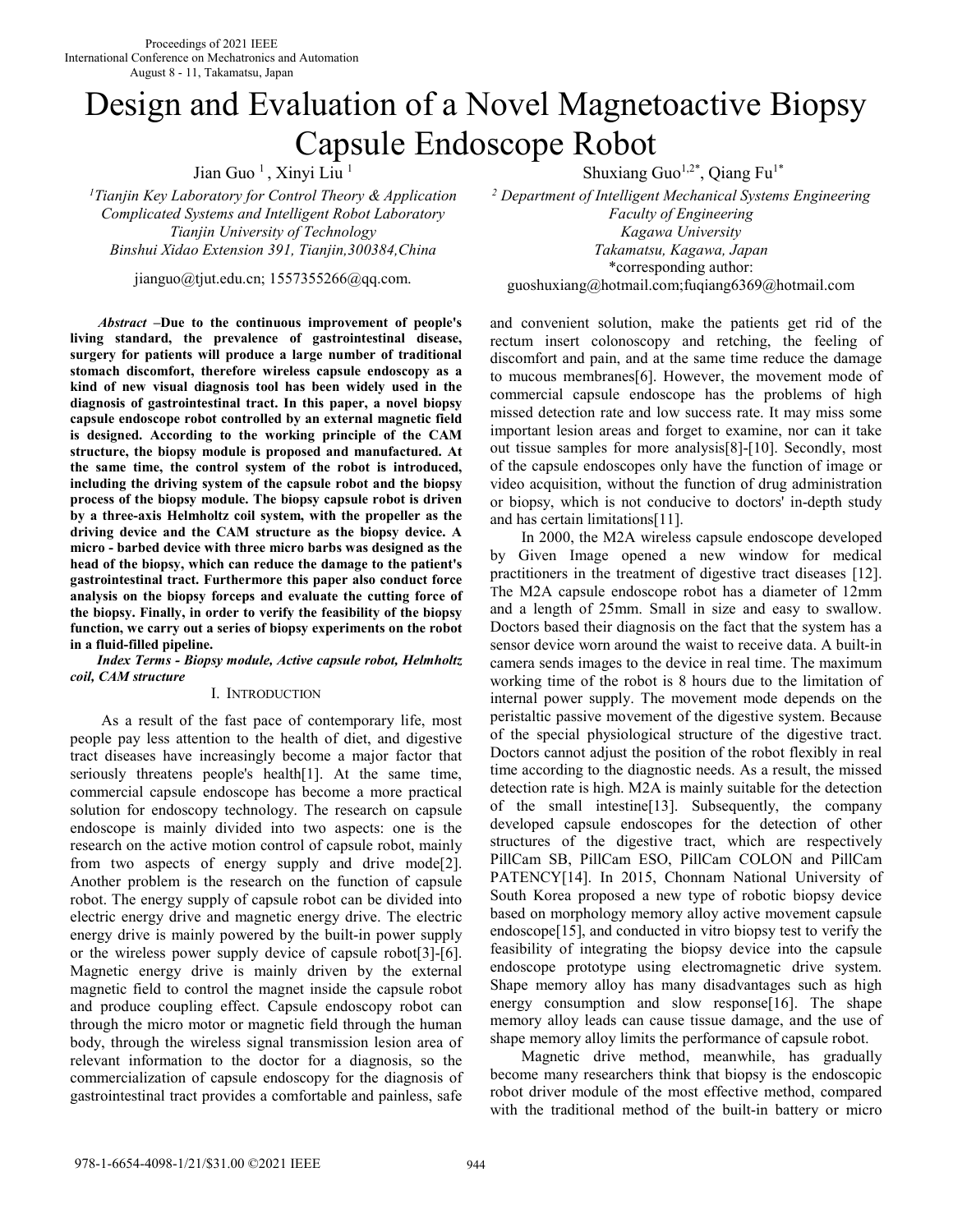# Design and Evaluation of a Novel Magnetoactive Biopsy Capsule Endoscope Robot

Jian Guo<sup>1</sup>, Xinyi Liu<sup>1</sup>

*<sup>1</sup>Tianjin Key Laboratory for Control Theory & Application Complicated Systems and Intelligent Robot Laboratory Tianjin University of Technology Kagawa University Binshui Xidao Extension 391, Tianjin,300384,China Takamatsu, Kagawa, Japan* 

jianguo@tjut.edu.cn; 1557355266@qq.com.

*Abstract* **–Due to the continuous improvement of people's living standard, the prevalence of gastrointestinal disease, surgery for patients will produce a large number of traditional stomach discomfort, therefore wireless capsule endoscopy as a kind of new visual diagnosis tool has been widely used in the diagnosis of gastrointestinal tract. In this paper, a novel biopsy capsule endoscope robot controlled by an external magnetic field is designed. According to the working principle of the CAM structure, the biopsy module is proposed and manufactured. At the same time, the control system of the robot is introduced, including the driving system of the capsule robot and the biopsy process of the biopsy module. The biopsy capsule robot is driven by a three-axis Helmholtz coil system, with the propeller as the driving device and the CAM structure as the biopsy device. A micro - barbed device with three micro barbs was designed as the head of the biopsy, which can reduce the damage to the patient's gastrointestinal tract. Furthermore this paper also conduct force analysis on the biopsy forceps and evaluate the cutting force of the biopsy. Finally, in order to verify the feasibility of the biopsy function, we carry out a series of biopsy experiments on the robot in a fluid-filled pipeline.** 

*Index Terms - Biopsy module, Active capsule robot, Helmholtz coil, CAM structure* 

## I. INTRODUCTION

As a result of the fast pace of contemporary life, most people pay less attention to the health of diet, and digestive tract diseases have increasingly become a major factor that seriously threatens people's health[1]. At the same time, commercial capsule endoscope has become a more practical solution for endoscopy technology. The research on capsule endoscope is mainly divided into two aspects: one is the research on the active motion control of capsule robot, mainly from two aspects of energy supply and drive mode[2]. Another problem is the research on the function of capsule robot. The energy supply of capsule robot can be divided into electric energy drive and magnetic energy drive. The electric energy drive is mainly powered by the built-in power supply or the wireless power supply device of capsule robot[3]-[6]. Magnetic energy drive is mainly driven by the external magnetic field to control the magnet inside the capsule robot and produce coupling effect. Capsule endoscopy robot can through the micro motor or magnetic field through the human body, through the wireless signal transmission lesion area of relevant information to the doctor for a diagnosis, so the commercialization of capsule endoscopy for the diagnosis of gastrointestinal tract provides a comfortable and painless, safe

Shuxiang  $Guo^{1,2^*}$ , Qiang Fu<sup>1\*</sup>

*2 Department of Intelligent Mechanical Systems Engineering Faculty of Engineering*  \*corresponding author: guoshuxiang@hotmail.com;fuqiang6369@hotmail.com

and convenient solution, make the patients get rid of the rectum insert colonoscopy and retching, the feeling of discomfort and pain, and at the same time reduce the damage to mucous membranes[6]. However, the movement mode of commercial capsule endoscope has the problems of high missed detection rate and low success rate. It may miss some important lesion areas and forget to examine, nor can it take out tissue samples for more analysis[8]-[10]. Secondly, most of the capsule endoscopes only have the function of image or video acquisition, without the function of drug administration or biopsy, which is not conducive to doctors' in-depth study and has certain limitations[11].

In 2000, the M2A wireless capsule endoscope developed by Given Image opened a new window for medical practitioners in the treatment of digestive tract diseases [12]. The M2A capsule endoscope robot has a diameter of 12mm and a length of 25mm. Small in size and easy to swallow. Doctors based their diagnosis on the fact that the system has a sensor device worn around the waist to receive data. A built-in camera sends images to the device in real time. The maximum working time of the robot is 8 hours due to the limitation of internal power supply. The movement mode depends on the peristaltic passive movement of the digestive system. Because of the special physiological structure of the digestive tract. Doctors cannot adjust the position of the robot flexibly in real time according to the diagnostic needs. As a result, the missed detection rate is high. M2A is mainly suitable for the detection of the small intestine[13]. Subsequently, the company developed capsule endoscopes for the detection of other structures of the digestive tract, which are respectively PillCam SB, PillCam ESO, PillCam COLON and PillCam PATENCY[14]. In 2015, Chonnam National University of South Korea proposed a new type of robotic biopsy device based on morphology memory alloy active movement capsule endoscope[15], and conducted in vitro biopsy test to verify the feasibility of integrating the biopsy device into the capsule endoscope prototype using electromagnetic drive system. Shape memory alloy has many disadvantages such as high energy consumption and slow response[16]. The shape memory alloy leads can cause tissue damage, and the use of shape memory alloy limits the performance of capsule robot.

Magnetic drive method, meanwhile, has gradually become many researchers think that biopsy is the endoscopic robot driver module of the most effective method, compared with the traditional method of the built-in battery or micro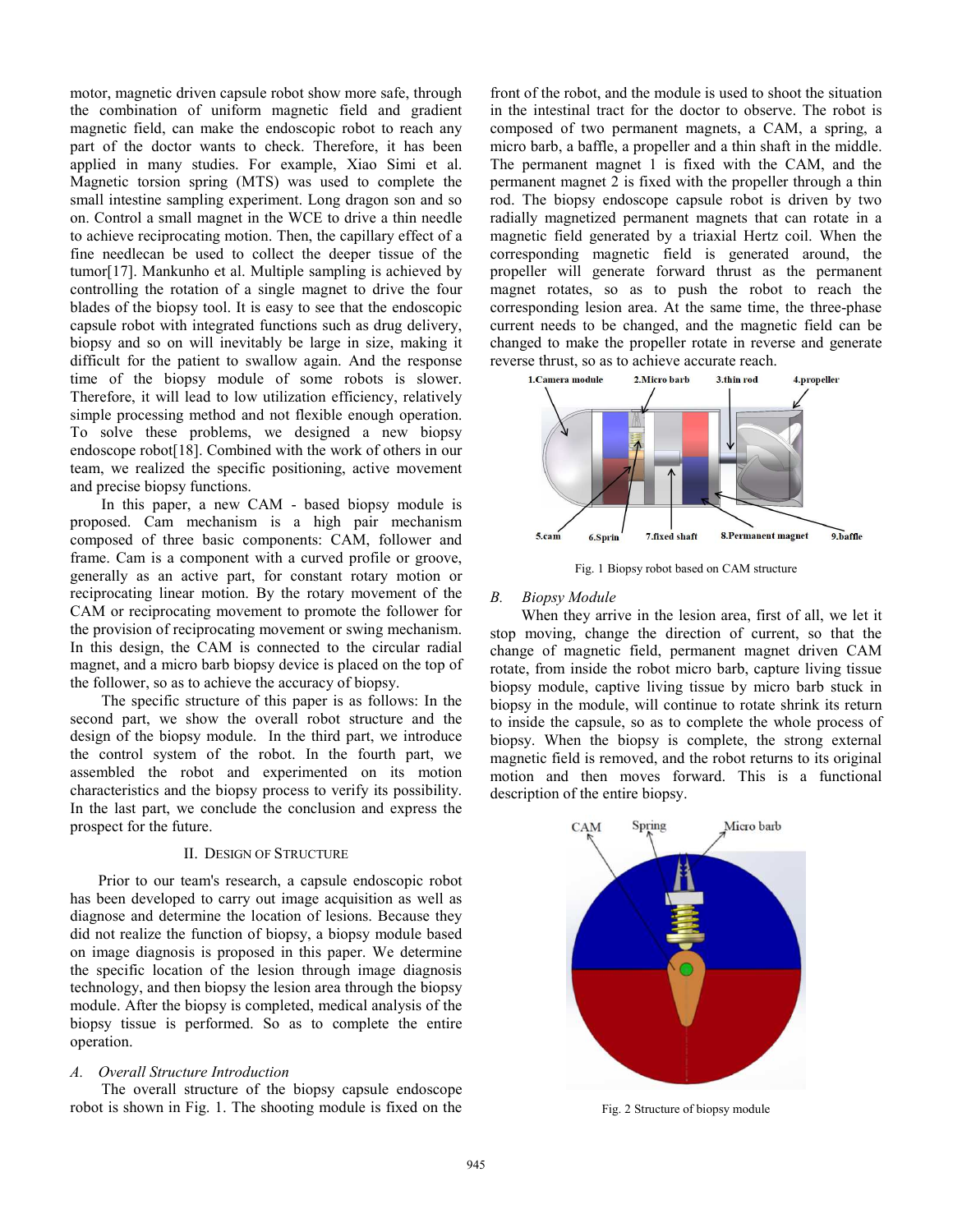motor, magnetic driven capsule robot show more safe, through the combination of uniform magnetic field and gradient magnetic field, can make the endoscopic robot to reach any part of the doctor wants to check. Therefore, it has been applied in many studies. For example, Xiao Simi et al. Magnetic torsion spring (MTS) was used to complete the small intestine sampling experiment. Long dragon son and so on. Control a small magnet in the WCE to drive a thin needle to achieve reciprocating motion. Then, the capillary effect of a fine needlecan be used to collect the deeper tissue of the tumor[17]. Mankunho et al. Multiple sampling is achieved by controlling the rotation of a single magnet to drive the four blades of the biopsy tool. It is easy to see that the endoscopic capsule robot with integrated functions such as drug delivery, biopsy and so on will inevitably be large in size, making it difficult for the patient to swallow again. And the response time of the biopsy module of some robots is slower. Therefore, it will lead to low utilization efficiency, relatively simple processing method and not flexible enough operation. To solve these problems, we designed a new biopsy endoscope robot[18]. Combined with the work of others in our team, we realized the specific positioning, active movement and precise biopsy functions.

In this paper, a new CAM - based biopsy module is proposed. Cam mechanism is a high pair mechanism composed of three basic components: CAM, follower and frame. Cam is a component with a curved profile or groove, generally as an active part, for constant rotary motion or reciprocating linear motion. By the rotary movement of the CAM or reciprocating movement to promote the follower for the provision of reciprocating movement or swing mechanism. In this design, the CAM is connected to the circular radial magnet, and a micro barb biopsy device is placed on the top of the follower, so as to achieve the accuracy of biopsy.

The specific structure of this paper is as follows: In the second part, we show the overall robot structure and the design of the biopsy module. In the third part, we introduce the control system of the robot. In the fourth part, we assembled the robot and experimented on its motion characteristics and the biopsy process to verify its possibility. In the last part, we conclude the conclusion and express the prospect for the future.

#### II. DESIGN OF STRUCTURE

 Prior to our team's research, a capsule endoscopic robot has been developed to carry out image acquisition as well as diagnose and determine the location of lesions. Because they did not realize the function of biopsy, a biopsy module based on image diagnosis is proposed in this paper. We determine the specific location of the lesion through image diagnosis technology, and then biopsy the lesion area through the biopsy module. After the biopsy is completed, medical analysis of the biopsy tissue is performed. So as to complete the entire operation.

## *A. Overall Structure Introduction*

The overall structure of the biopsy capsule endoscope robot is shown in Fig. 1. The shooting module is fixed on the

front of the robot, and the module is used to shoot the situation in the intestinal tract for the doctor to observe. The robot is composed of two permanent magnets, a CAM, a spring, a micro barb, a baffle, a propeller and a thin shaft in the middle. The permanent magnet 1 is fixed with the CAM, and the permanent magnet 2 is fixed with the propeller through a thin rod. The biopsy endoscope capsule robot is driven by two radially magnetized permanent magnets that can rotate in a magnetic field generated by a triaxial Hertz coil. When the corresponding magnetic field is generated around, the propeller will generate forward thrust as the permanent magnet rotates, so as to push the robot to reach the corresponding lesion area. At the same time, the three-phase current needs to be changed, and the magnetic field can be changed to make the propeller rotate in reverse and generate reverse thrust, so as to achieve accurate reach.



Fig. 1 Biopsy robot based on CAM structure

### *B. Biopsy Module*

When they arrive in the lesion area, first of all, we let it stop moving, change the direction of current, so that the change of magnetic field, permanent magnet driven CAM rotate, from inside the robot micro barb, capture living tissue biopsy module, captive living tissue by micro barb stuck in biopsy in the module, will continue to rotate shrink its return to inside the capsule, so as to complete the whole process of biopsy. When the biopsy is complete, the strong external magnetic field is removed, and the robot returns to its original motion and then moves forward. This is a functional description of the entire biopsy.



Fig. 2 Structure of biopsy module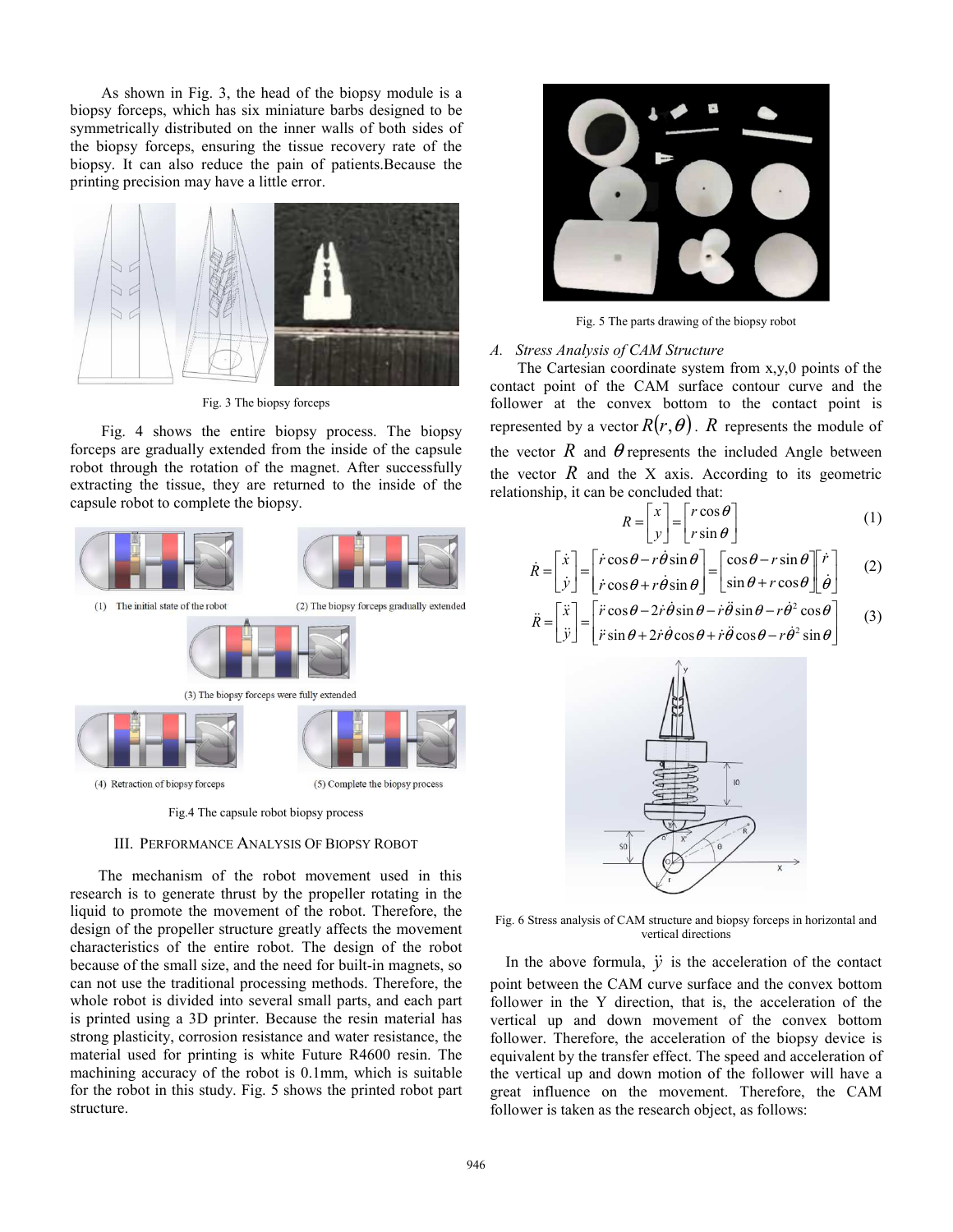As shown in Fig. 3, the head of the biopsy module is a biopsy forceps, which has six miniature barbs designed to be symmetrically distributed on the inner walls of both sides of the biopsy forceps, ensuring the tissue recovery rate of the biopsy. It can also reduce the pain of patients.Because the printing precision may have a little error.



Fig. 3 The biopsy forceps

Fig. 4 shows the entire biopsy process. The biopsy forceps are gradually extended from the inside of the capsule robot through the rotation of the magnet. After successfully extracting the tissue, they are returned to the inside of the capsule robot to complete the biopsy.



Fig.4 The capsule robot biopsy process

#### III. PERFORMANCE ANALYSIS OF BIOPSY ROBOT

 The mechanism of the robot movement used in this research is to generate thrust by the propeller rotating in the liquid to promote the movement of the robot. Therefore, the design of the propeller structure greatly affects the movement characteristics of the entire robot. The design of the robot because of the small size, and the need for built-in magnets, so can not use the traditional processing methods. Therefore, the whole robot is divided into several small parts, and each part is printed using a 3D printer. Because the resin material has strong plasticity, corrosion resistance and water resistance, the material used for printing is white Future R4600 resin. The machining accuracy of the robot is 0.1mm, which is suitable for the robot in this study. Fig. 5 shows the printed robot part structure.



Fig. 5 The parts drawing of the biopsy robot

## *A. Stress Analysis of CAM Structure*

The Cartesian coordinate system from x,y,0 points of the contact point of the CAM surface contour curve and the follower at the convex bottom to the contact point is represented by a vector  $R(r, \theta)$ . *R* represents the module of the vector  $\hat{R}$  and  $\hat{\theta}$  represents the included Angle between the vector  $\hat{R}$  and the X axis. According to its geometric relationship, it can be concluded that:

$$
R = \begin{bmatrix} x \\ y \end{bmatrix} = \begin{bmatrix} r\cos\theta \\ r\sin\theta \end{bmatrix}
$$
 (1)

$$
\dot{R} = \begin{bmatrix} \dot{x} \\ \dot{y} \end{bmatrix} = \begin{bmatrix} \dot{r}\cos\theta - r\dot{\theta}\sin\theta \\ \dot{r}\cos\theta + r\dot{\theta}\sin\theta \end{bmatrix} = \begin{bmatrix} \cos\theta - r\sin\theta \\ \sin\theta + r\cos\theta \end{bmatrix} \begin{bmatrix} \dot{r} \\ \dot{\theta} \end{bmatrix}
$$
 (2)

$$
\ddot{R} = \begin{bmatrix} \ddot{x} \\ \ddot{y} \end{bmatrix} = \begin{bmatrix} \ddot{r}\cos\theta - 2\dot{r}\dot{\theta}\sin\theta - \dot{r}\ddot{\theta}\sin\theta - r\dot{\theta}^2\cos\theta \\ \ddot{r}\sin\theta + 2\dot{r}\dot{\theta}\cos\theta + \dot{r}\ddot{\theta}\cos\theta - r\dot{\theta}^2\sin\theta \end{bmatrix}
$$
 (3)



Fig. 6 Stress analysis of CAM structure and biopsy forceps in horizontal and vertical directions

In the above formula,  $\ddot{y}$  is the acceleration of the contact point between the CAM curve surface and the convex bottom follower in the Y direction, that is, the acceleration of the vertical up and down movement of the convex bottom follower. Therefore, the acceleration of the biopsy device is equivalent by the transfer effect. The speed and acceleration of the vertical up and down motion of the follower will have a great influence on the movement. Therefore, the CAM follower is taken as the research object, as follows: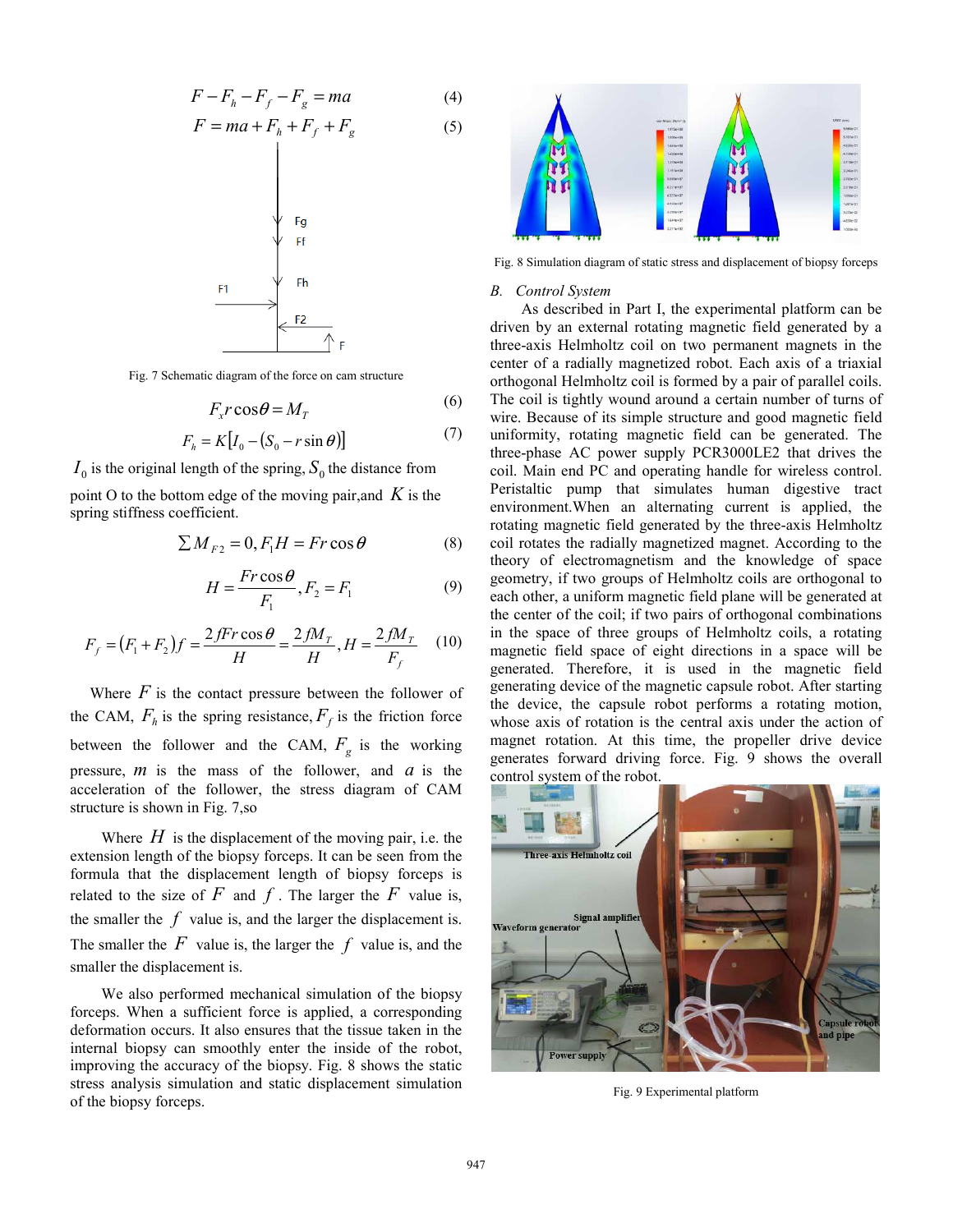$$
F - F_h - F_f - F_g = ma \tag{4}
$$

$$
F = ma + F_h + F_f + F_g \tag{5}
$$



Fig. 7 Schematic diagram of the force on cam structure

$$
F_x r \cos \theta = M_T \tag{6}
$$

$$
F_h = K[I_0 - (S_0 - r\sin\theta)]
$$
 (7)

 $I_0$  is the original length of the spring,  $S_0$  the distance from

point O to the bottom edge of the moving pair,and *K* is the spring stiffness coefficient.

$$
\sum M_{F2} = 0, F_1 H = Fr \cos \theta \tag{8}
$$

$$
H = \frac{Fr\cos\theta}{F_1}, F_2 = F_1 \tag{9}
$$

$$
F_f = (F_1 + F_2)f = \frac{2fFr\cos\theta}{H} = \frac{2fM_T}{H}, H = \frac{2fM_T}{F_f}
$$
 (10)

Where  $F$  is the contact pressure between the follower of the CAM,  $F_h$  is the spring resistance,  $F_f$  is the friction force between the follower and the CAM,  $F_g$  is the working pressure, *m* is the mass of the follower, and *a* is the acceleration of the follower, the stress diagram of CAM structure is shown in Fig. 7,so

Where  $H$  is the displacement of the moving pair, i.e. the extension length of the biopsy forceps. It can be seen from the formula that the displacement length of biopsy forceps is related to the size of  $F$  and  $f$ . The larger the  $F$  value is, the smaller the  $f$  value is, and the larger the displacement is. The smaller the  $F$  value is, the larger the  $f$  value is, and the smaller the displacement is.

We also performed mechanical simulation of the biopsy forceps. When a sufficient force is applied, a corresponding deformation occurs. It also ensures that the tissue taken in the internal biopsy can smoothly enter the inside of the robot, improving the accuracy of the biopsy. Fig. 8 shows the static stress analysis simulation and static displacement simulation of the biopsy forceps.



Fig. 8 Simulation diagram of static stress and displacement of biopsy forceps

#### *B. Control System*

As described in Part I, the experimental platform can be driven by an external rotating magnetic field generated by a three-axis Helmholtz coil on two permanent magnets in the center of a radially magnetized robot. Each axis of a triaxial orthogonal Helmholtz coil is formed by a pair of parallel coils. The coil is tightly wound around a certain number of turns of wire. Because of its simple structure and good magnetic field uniformity, rotating magnetic field can be generated. The three-phase AC power supply PCR3000LE2 that drives the coil. Main end PC and operating handle for wireless control. Peristaltic pump that simulates human digestive tract environment.When an alternating current is applied, the rotating magnetic field generated by the three-axis Helmholtz coil rotates the radially magnetized magnet. According to the theory of electromagnetism and the knowledge of space geometry, if two groups of Helmholtz coils are orthogonal to each other, a uniform magnetic field plane will be generated at the center of the coil; if two pairs of orthogonal combinations in the space of three groups of Helmholtz coils, a rotating magnetic field space of eight directions in a space will be generated. Therefore, it is used in the magnetic field generating device of the magnetic capsule robot. After starting the device, the capsule robot performs a rotating motion, whose axis of rotation is the central axis under the action of magnet rotation. At this time, the propeller drive device generates forward driving force. Fig. 9 shows the overall control system of the robot.



Fig. 9 Experimental platform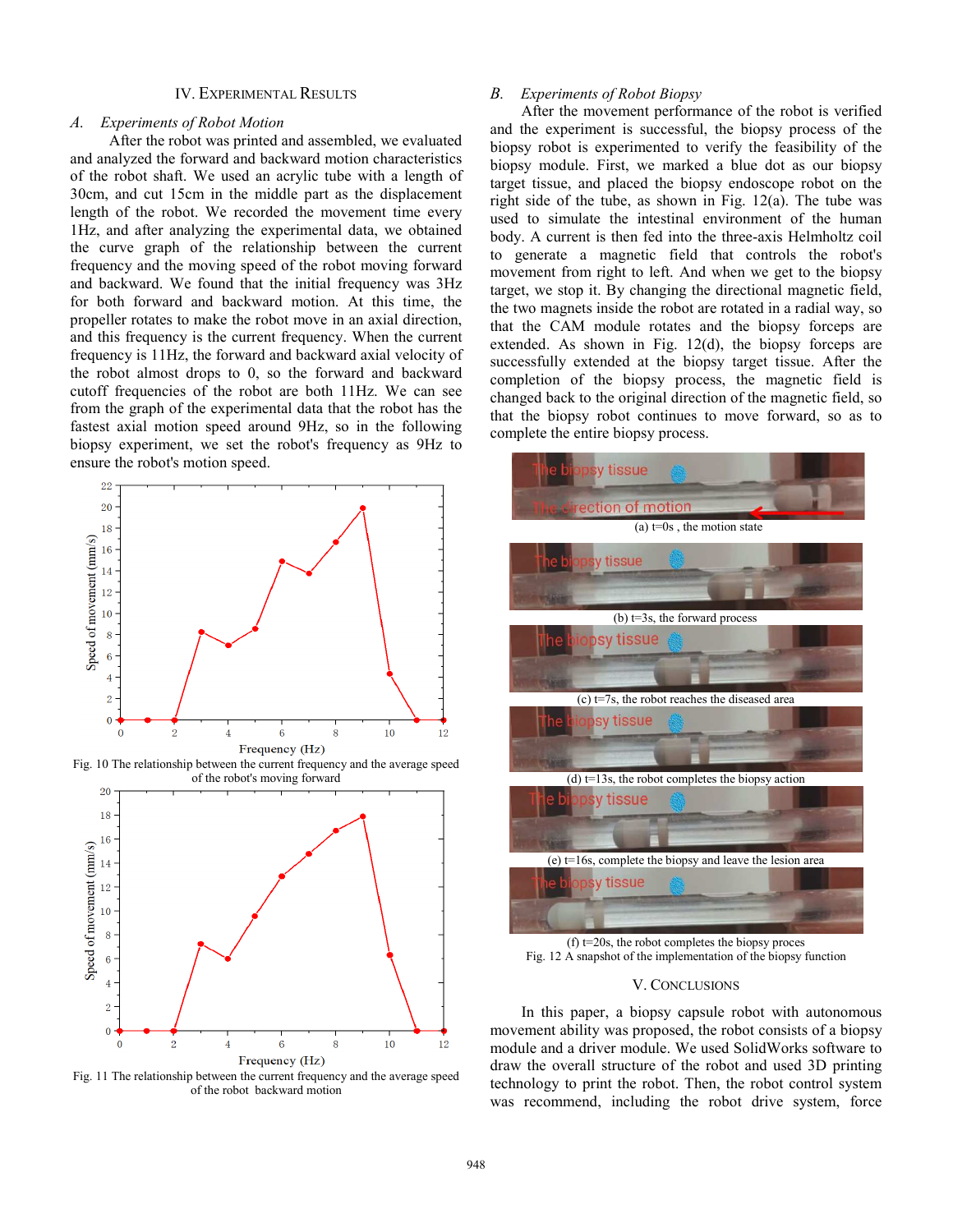## IV. EXPERIMENTAL RESULTS

#### *A. Experiments of Robot Motion*

 After the robot was printed and assembled, we evaluated and analyzed the forward and backward motion characteristics of the robot shaft. We used an acrylic tube with a length of 30cm, and cut 15cm in the middle part as the displacement length of the robot. We recorded the movement time every 1Hz, and after analyzing the experimental data, we obtained the curve graph of the relationship between the current frequency and the moving speed of the robot moving forward and backward. We found that the initial frequency was 3Hz for both forward and backward motion. At this time, the propeller rotates to make the robot move in an axial direction, and this frequency is the current frequency. When the current frequency is 11Hz, the forward and backward axial velocity of the robot almost drops to 0, so the forward and backward cutoff frequencies of the robot are both 11Hz. We can see from the graph of the experimental data that the robot has the fastest axial motion speed around 9Hz, so in the following biopsy experiment, we set the robot's frequency as 9Hz to ensure the robot's motion speed.



Fig. 10 The relationship between the current frequency and the average speed of the robot's moving forward



Fig. 11 The relationship between the current frequency and the average speed of the robot backward motion

## *B. Experiments of Robot Biopsy*

After the movement performance of the robot is verified and the experiment is successful, the biopsy process of the biopsy robot is experimented to verify the feasibility of the biopsy module. First, we marked a blue dot as our biopsy target tissue, and placed the biopsy endoscope robot on the right side of the tube, as shown in Fig. 12(a). The tube was used to simulate the intestinal environment of the human body. A current is then fed into the three-axis Helmholtz coil to generate a magnetic field that controls the robot's movement from right to left. And when we get to the biopsy target, we stop it. By changing the directional magnetic field, the two magnets inside the robot are rotated in a radial way, so that the CAM module rotates and the biopsy forceps are extended. As shown in Fig. 12(d), the biopsy forceps are successfully extended at the biopsy target tissue. After the completion of the biopsy process, the magnetic field is changed back to the original direction of the magnetic field, so that the biopsy robot continues to move forward, so as to complete the entire biopsy process.



(f) t=20s, the robot completes the biopsy proces Fig. 12 A snapshot of the implementation of the biopsy function

### V. CONCLUSIONS

In this paper, a biopsy capsule robot with autonomous movement ability was proposed, the robot consists of a biopsy module and a driver module. We used SolidWorks software to draw the overall structure of the robot and used 3D printing technology to print the robot. Then, the robot control system was recommend, including the robot drive system, force